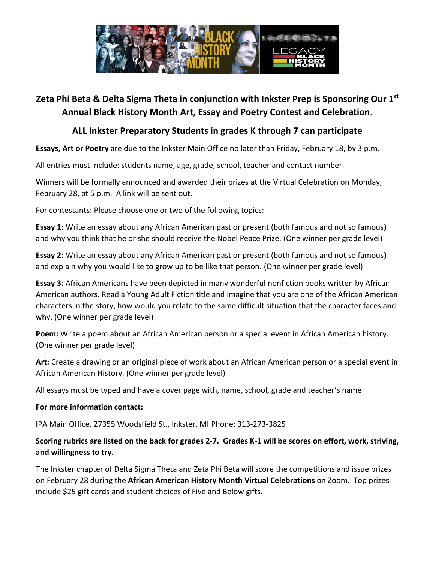

### **Zeta Phi Beta & Delta Sigma Theta in conjunction with Inkster Prep is Sponsoring Our 1st Annual Black History Month Art, Essay and Poetry Contest and Celebration.**

### **ALL Inkster Preparatory Students in grades K through 7 can participate**

**Essays, Art or Poetry** are due to the Inkster Main Office no later than Friday, February 18, by 3 p.m.

All entries must include: students name, age, grade, school, teacher and contact number.

Winners will be formally announced and awarded their prizes at the Virtual Celebration on Monday, February 28, at 5 p.m. A link will be sent out.

For contestants: Please choose one or two of the following topics:

**Essay 1:** Write an essay about any African American past or present (both famous and not so famous) and why you think that he or she should receive the Nobel Peace Prize. (One winner per grade level)

**Essay 2:** Write an essay about any African American past or present (both famous and not so famous) and explain why you would like to grow up to be like that person. (One winner per grade level)

**Essay 3:** African Americans have been depicted in many wonderful nonfiction books written by African American authors. Read a Young Adult Fiction title and imagine that you are one of the African American characters in the story, how would you relate to the same difficult situation that the character faces and why. (One winner per grade level)

**Poem:** Write a poem about an African American person or a special event in African American history. (One winner per grade level)

**Art:** Create a drawing or an original piece of work about an African American person or a special event in African American History. (One winner per grade level)

All essays must be typed and have a cover page with, name, school, grade and teacher's name

#### **For more information contact:**

IPA Main Office, 27355 Woodsfield St., Inkster, MI Phone: 313-273-3825

#### **Scoring rubrics are listed on the back for grades 2-7. Grades K-1 will be scores on effort, work, striving, and willingness to try.**

The Inkster chapter of Delta Sigma Theta and Zeta Phi Beta will score the competitions and issue prizes on February 28 during the **African American History Month Virtual Celebrations** on Zoom. Top prizes include \$25 gift cards and student choices of Five and Below gifts.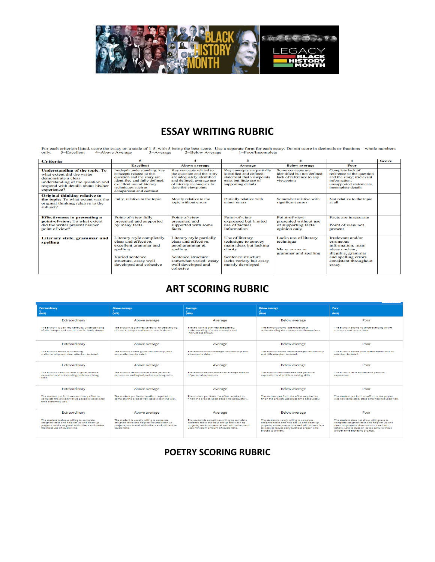

# **ESSAY WRITING RUBRIC**

For each criterion listed, score the essay on a scale of 1-5, with 5 being the best score. Use a separate form for each essay. Do not score in decimals or fractions – whole numbers only.  $5$ =Excellent  $4$ =Above Average  $3$ 

| <b>Criteria</b>                                                                                                                                                                      | 5                                                                                                                                                                                                   |                                                                                                                                                                    | 3                                                                                                                                                | $\mathbf{z}$                                                                               |                                                                                                                                                      | <b>Score</b> |
|--------------------------------------------------------------------------------------------------------------------------------------------------------------------------------------|-----------------------------------------------------------------------------------------------------------------------------------------------------------------------------------------------------|--------------------------------------------------------------------------------------------------------------------------------------------------------------------|--------------------------------------------------------------------------------------------------------------------------------------------------|--------------------------------------------------------------------------------------------|------------------------------------------------------------------------------------------------------------------------------------------------------|--------------|
|                                                                                                                                                                                      | <b>Excellent</b>                                                                                                                                                                                    | <b>Above average</b>                                                                                                                                               | <b>Average</b>                                                                                                                                   | <b>Below average</b>                                                                       | Poor                                                                                                                                                 |              |
| <b>Understanding of the topic: To</b><br>what extent did the writer<br>demonstrate a clear<br>understanding of the question and<br>respond with details about his/her<br>experience? | In-depth understanding: key<br>concepts related to the<br>question and the story are<br>identified and fully defined;<br>excellent use of literary<br>techniques such as<br>comparison and contrast | Key concepts related to<br>the question and the story<br>are adequately identified<br>and defined; average use<br>of literary techniques to<br>describe viewpoints | Key concepts are partially<br>identified and defined:<br>statement that viewpoints<br>exist but little use of<br>supporting details              | Some concepts are<br>identified but not defined;<br>lack of reference to any<br>viewpoints | Complete lack of<br>reference to the question<br>and the story; irrelevant<br>information;<br>unsupported statements.<br>incomplete details          |              |
| <b>Original thinking relative to</b><br>the topic: To what extent was the<br>original thinking relative to the<br>subject?                                                           | Fully, relative to the topic                                                                                                                                                                        | Mostly relative to the<br>topic without errors                                                                                                                     | Partially relative with<br>minor errors                                                                                                          | Somewhat relative with<br>significant errors                                               | Not relative to the topic<br>at all                                                                                                                  |              |
| <b>Effectiveness in presenting a</b><br>point-of-view: To what extent<br>did the writer present his/her<br>point of view?                                                            | Point-of-view fully<br>presented and supported<br>by many facts                                                                                                                                     | Point-of-view<br>presented and<br>supported with some<br>facts                                                                                                     | Point-of-view<br>expressed but limited<br>use of factual<br>information                                                                          | Point-of-view<br>presented without use<br>of supporting facts/<br>opinion only             | Facts are inaccurate<br>Point of view not<br>present                                                                                                 |              |
| Literary style, grammar and<br>spelling                                                                                                                                              | Literary style completely<br>clear and effective.<br>excellent grammar and<br>spelling<br>Varied sentence<br>structure, essay well<br>developed and cohesive                                        | Literary style partially<br>clear and effective.<br>good grammar &<br>spelling<br>Sentence structure<br>somewhat varied; essay<br>well developed and<br>cohesive   | Use of literary<br>technique to convey<br>main ideas but lacking<br>clarity<br>Sentence structure<br>lacks variety but essay<br>mostly developed | Lacks use of literary<br>technique<br>Many errors in<br>grammar and spelling               | Irrelevant and/or<br>erroneous<br>information, main<br>ideas unclear.<br>illegible, grammar<br>and spelling errors<br>consistent throughout<br>essay |              |

# **ART SCORING RUBRIC**

| <b>Extraordinary</b><br>(N/A)                                                                                                                                               | <b>Above average</b><br>(N/A)                                                                                                                                   | Average<br>(N/A)                                                                                                                                                                    | <b>Below average</b><br>(N/A)                                                                                                                                                                                         | Poor<br>(NVA)                                                                                                                                                                                                               |  |
|-----------------------------------------------------------------------------------------------------------------------------------------------------------------------------|-----------------------------------------------------------------------------------------------------------------------------------------------------------------|-------------------------------------------------------------------------------------------------------------------------------------------------------------------------------------|-----------------------------------------------------------------------------------------------------------------------------------------------------------------------------------------------------------------------|-----------------------------------------------------------------------------------------------------------------------------------------------------------------------------------------------------------------------------|--|
| Extraordinary                                                                                                                                                               | Above average                                                                                                                                                   | Average                                                                                                                                                                             | <b>Below average</b>                                                                                                                                                                                                  | Poor                                                                                                                                                                                                                        |  |
| The artwork is planned carefully; understanding<br>of all concepts and instructions is clearly shown.                                                                       | The artwork is planned carefully; understanding<br>of most concepts and instructions is shown.                                                                  | The art work is planned adequately:<br>understanding of some concepts and<br>instructions shown.                                                                                    | The artwork shows little evidence of<br>understanding the concepts and instructions.                                                                                                                                  | The artwork shows no understanding of the<br>concepts and instructions.                                                                                                                                                     |  |
| Extraordinary                                                                                                                                                               | Above average                                                                                                                                                   | Average                                                                                                                                                                             | <b>Below average</b>                                                                                                                                                                                                  | Poor                                                                                                                                                                                                                        |  |
| The artwork shows outstanding<br>craftsmanship.with clear attention to detail.                                                                                              | The artwork shows good craftmanship, with<br>some attention to detail.                                                                                          | The artwork shows average craftmanship and<br>attention to detail.                                                                                                                  | The artwork shows below average craftmanship<br>and little attention to detail.                                                                                                                                       | The artwork shows poor craftmanship and no<br>attention to detail.                                                                                                                                                          |  |
| Extraordinary                                                                                                                                                               | Above average                                                                                                                                                   | Average                                                                                                                                                                             | <b>Below average</b>                                                                                                                                                                                                  | Poor                                                                                                                                                                                                                        |  |
| The artwork demonstrates original personal<br>expession and outstanding problem solving<br>skills                                                                           | The artwork demonstrates some personal<br>expression and logical problem solving skills.                                                                        | The artwork demonstrates an average amount<br>of personal expression.                                                                                                               | The artwork demonstrates little personal<br>expression and problem solving skills.                                                                                                                                    | The artwork lacks evidence of personal<br>expression.                                                                                                                                                                       |  |
| Extraordinary                                                                                                                                                               | Above average                                                                                                                                                   | Average                                                                                                                                                                             | <b>Below average</b>                                                                                                                                                                                                  | Poor                                                                                                                                                                                                                        |  |
| The student put forth extraordinary effort to<br>complete the project well as possible; used class<br>time extremely well.                                                  | The student out forth the effort required to<br>complete the project well; used class time well.                                                                | The student out forth the effort required to<br>finish the project; used class time adequately.                                                                                     | The student out forth the effort required to<br>finish the project; usedclass time adequately.                                                                                                                        | The student out forth no effort or the project<br>was not completed; class time was not used well.                                                                                                                          |  |
| Extraordinary                                                                                                                                                               | Above average                                                                                                                                                   | Average                                                                                                                                                                             | <b>Below average</b>                                                                                                                                                                                                  | Poor                                                                                                                                                                                                                        |  |
| The student is always willing to complete<br>assigned tasks and help set up and clean up<br>projects: works very well with others and makes<br>the most use of studio time. | The student is usually willing to complete<br>assigned tasks and help set up and clean up-<br>projects: works well with others and utilizes the<br>studio time. | The student is sometimes willing to complete<br>assigned tasks and help set up and clean up<br>projects: works somewhat well with others and<br>uses minimum amount of studio time. | The student is rarely willing to complete<br>assigned tasks and help set up and clean up<br>projects; sometimes works well with others, late<br>to class or leaves early (without proper time<br>alloted to project). | The student does not show willingness to<br>complete assigned tasks and help set up and<br>clean up projects; does not work well with<br>others. Late to class or leaves early (without<br>proper time alloted to project). |  |

### **POETRY SCORING RUBRIC**